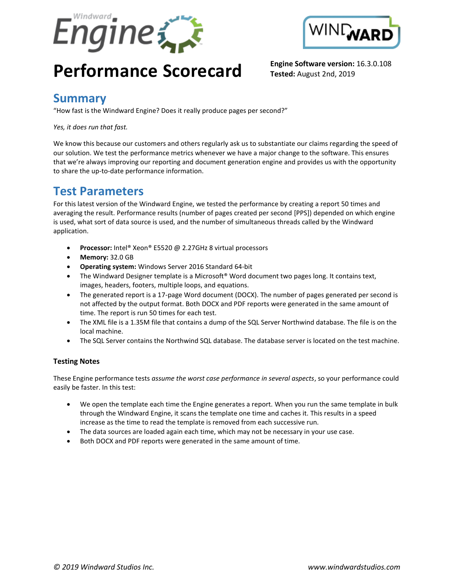



# **Performance Scorecard Engine Software version:** 16.3.0.108

**Tested:** August 2nd, 2019

#### **Summary**

"How fast is the Windward Engine? Does it really produce pages per second?"

*Yes, it does run that fast.*

We know this because our customers and others regularly ask us to substantiate our claims regarding the speed of our solution. We test the performance metrics whenever we have a major change to the software. This ensures that we're always improving our reporting and document generation engine and provides us with the opportunity to share the up-to-date performance information.

### **Test Parameters**

For this latest version of the Windward Engine, we tested the performance by creating a report 50 times and averaging the result. Performance results (number of pages created per second [PPS]) depended on which engine is used, what sort of data source is used, and the number of simultaneous threads called by the Windward application.

- **Processor:** Intel® Xeon® E5520 @ 2.27GHz 8 virtual processors
- **Memory:** 32.0 GB
- **Operating system:** Windows Server 2016 Standard 64-bit
- The Windward Designer template is a Microsoft<sup>®</sup> Word document two pages long. It contains text, images, headers, footers, multiple loops, and equations.
- The generated report is a 17-page Word document (DOCX). The number of pages generated per second is not affected by the output format. Both DOCX and PDF reports were generated in the same amount of time. The report is run 50 times for each test.
- The XML file is a 1.35M file that contains a dump of the SQL Server Northwind database. The file is on the local machine.
- The SQL Server contains the Northwind SQL database. The database server is located on the test machine.

#### **Testing Notes**

These Engine performance tests *assume the worst case performance in several aspects*, so your performance could easily be faster. In this test:

- We open the template each time the Engine generates a report. When you run the same template in bulk through the Windward Engine, it scans the template one time and caches it. This results in a speed increase as the time to read the template is removed from each successive run.
- The data sources are loaded again each time, which may not be necessary in your use case.
- Both DOCX and PDF reports were generated in the same amount of time.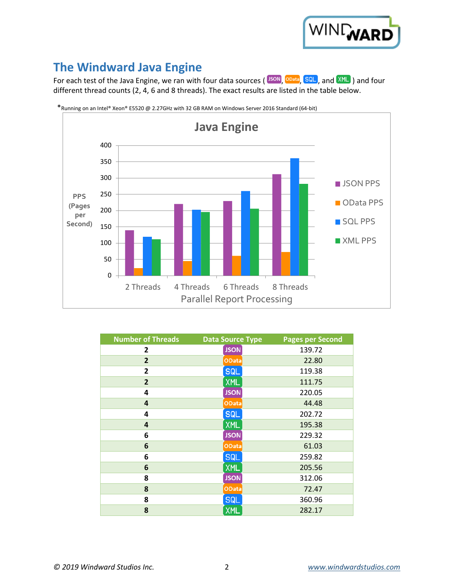

# **The Windward Java Engine**

For each test of the Java Engine, we ran with four data sources (SON, OData, SQL, and XML) and four different thread counts (2, 4, 6 and 8 threads). The exact results are listed in the table below.



\*Running on an Intel® Xeon® E5520 @ 2.27GHz with 32 GB RAM on Windows Server 2016 Standard (64-bit)

| <b>Number of Threads</b> | <b>Data Source Type</b> | <b>Pages per Second</b> |
|--------------------------|-------------------------|-------------------------|
| $\mathbf{2}$             | <b>JSON</b>             | 139.72                  |
| $\overline{2}$           | <b>OData</b>            | 22.80                   |
| $\overline{2}$           | <b>SQL</b>              | 119.38                  |
| $\overline{2}$           | <b>XML</b>              | 111.75                  |
| 4                        | <b>JSON</b>             | 220.05                  |
| 4                        | <b>OData</b>            | 44.48                   |
| 4                        | <b>SQL</b>              | 202.72                  |
| 4                        | <b>XML</b>              | 195.38                  |
| 6                        | <b>JSON</b>             | 229.32                  |
| 6                        | <b>OData</b>            | 61.03                   |
| 6                        | <b>SQL</b>              | 259.82                  |
| 6                        | <b>XML</b>              | 205.56                  |
| 8                        | <b>JSON</b>             | 312.06                  |
| 8                        | <b>OData</b>            | 72.47                   |
| 8                        | <b>SQL</b>              | 360.96                  |
| 8                        | <b>XML</b>              | 282.17                  |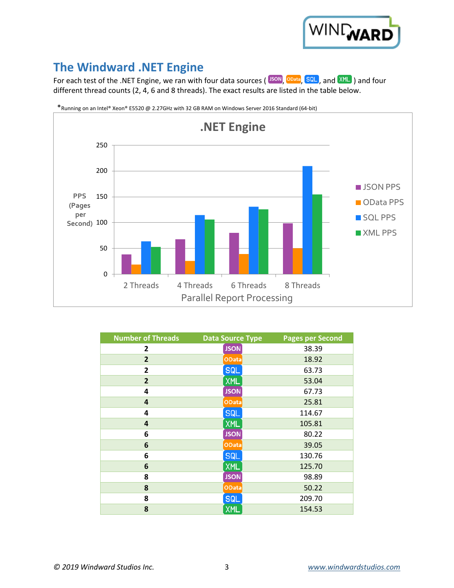

# **The Windward .NET Engine**

For each test of the .NET Engine, we ran with four data sources ( $\overline{^{150N}}$ ,  $\overline{^{OData}}$ ,  $\overline{SQL}$ , and  $\overline{XML}$ ) and four different thread counts (2, 4, 6 and 8 threads). The exact results are listed in the table below.



\*Running on an Intel® Xeon® E5520 @ 2.27GHz with 32 GB RAM on Windows Server 2016 Standard (64-bit)

| <b>Number of Threads</b> | <b>Data Source Type</b> | <b>Pages per Second</b> |
|--------------------------|-------------------------|-------------------------|
| $\mathbf{2}$             | <b>JSON</b>             | 38.39                   |
| $\overline{2}$           | <b>OData</b>            | 18.92                   |
| $\overline{2}$           | <b>SQL</b>              | 63.73                   |
| $\overline{2}$           | <b>XML</b>              | 53.04                   |
| 4                        | <b>JSON</b>             | 67.73                   |
| 4                        | OData                   | 25.81                   |
| 4                        | <b>SQL</b>              | 114.67                  |
| 4                        | <b>XML</b>              | 105.81                  |
| 6                        | <b>JSON</b>             | 80.22                   |
| 6                        | OData                   | 39.05                   |
| 6                        | <b>SQL</b>              | 130.76                  |
| 6                        | <b>XML</b>              | 125.70                  |
| 8                        | <b>JSON</b>             | 98.89                   |
| 8                        | <b>OData</b>            | 50.22                   |
| 8                        | <b>SQL</b>              | 209.70                  |
| 8                        | <b>XML</b>              | 154.53                  |